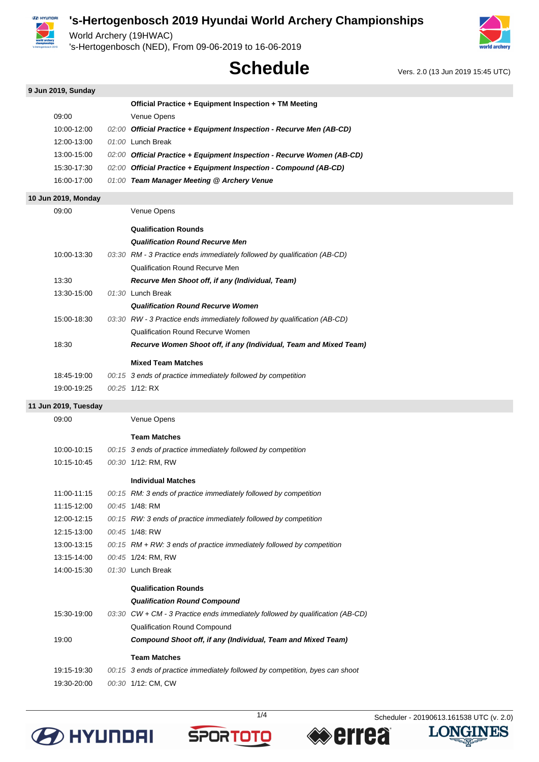

World Archery (19HWAC)

's-Hertogenbosch (NED), From 09-06-2019 to 16-06-2019



# **Schedule** Vers. 2.0 (13 Jun 2019 15:45 UTC)

| 9 Jun 2019, Sunday   |                                                                               |
|----------------------|-------------------------------------------------------------------------------|
|                      | Official Practice + Equipment Inspection + TM Meeting                         |
| 09:00                | Venue Opens                                                                   |
| 10:00-12:00          | 02:00 Official Practice + Equipment Inspection - Recurve Men (AB-CD)          |
| 12:00-13:00          | 01:00 Lunch Break                                                             |
| 13:00-15:00          | 02:00 Official Practice + Equipment Inspection - Recurve Women (AB-CD)        |
| 15:30-17:30          | 02:00 Official Practice + Equipment Inspection - Compound (AB-CD)             |
| 16:00-17:00          | 01:00 Team Manager Meeting @ Archery Venue                                    |
| 10 Jun 2019, Monday  |                                                                               |
| 09:00                | Venue Opens                                                                   |
|                      | <b>Qualification Rounds</b>                                                   |
|                      | <b>Qualification Round Recurve Men</b>                                        |
| 10:00-13:30          | 03:30 RM - 3 Practice ends immediately followed by qualification (AB-CD)      |
|                      | <b>Qualification Round Recurve Men</b>                                        |
| 13:30                | Recurve Men Shoot off, if any (Individual, Team)                              |
| 13:30-15:00          | 01:30 Lunch Break                                                             |
|                      | <b>Qualification Round Recurve Women</b>                                      |
| 15:00-18:30          | 03:30 RW - 3 Practice ends immediately followed by qualification (AB-CD)      |
|                      | <b>Qualification Round Recurve Women</b>                                      |
| 18:30                | Recurve Women Shoot off, if any (Individual, Team and Mixed Team)             |
|                      | <b>Mixed Team Matches</b>                                                     |
| 18:45-19:00          | 00:15 3 ends of practice immediately followed by competition                  |
| 19:00-19:25          | 00:25 1/12: RX                                                                |
| 11 Jun 2019, Tuesday |                                                                               |
| 09:00                | Venue Opens                                                                   |
|                      | <b>Team Matches</b>                                                           |
| 10:00-10:15          | 00:15 3 ends of practice immediately followed by competition                  |
| 10:15-10:45          | 00:30 1/12: RM, RW                                                            |
|                      | <b>Individual Matches</b>                                                     |
| 11:00-11:15          | 00:15 RM: 3 ends of practice immediately followed by competition              |
| 11:15-12:00          | 00:45 1/48: RM                                                                |
| 12:00-12:15          | 00:15 RW: 3 ends of practice immediately followed by competition              |
| 12:15-13:00          | 00:45 1/48: RW                                                                |
| 13:00-13:15          | 00:15 RM + RW: 3 ends of practice immediately followed by competition         |
| 13:15-14:00          | 00:45 1/24: RM, RW                                                            |
| 14:00-15:30          | 01:30 Lunch Break                                                             |
|                      | <b>Qualification Rounds</b>                                                   |
|                      | <b>Qualification Round Compound</b>                                           |
| 15:30-19:00          | 03:30 CW + CM - 3 Practice ends immediately followed by qualification (AB-CD) |
|                      | Qualification Round Compound                                                  |
| 19:00                | Compound Shoot off, if any (Individual, Team and Mixed Team)                  |
|                      | <b>Team Matches</b>                                                           |
| 19:15-19:30          | 00:15 3 ends of practice immediately followed by competition, byes can shoot  |
| 19:30-20:00          | 00:30 1/12: CM, CW                                                            |







**LONGINES**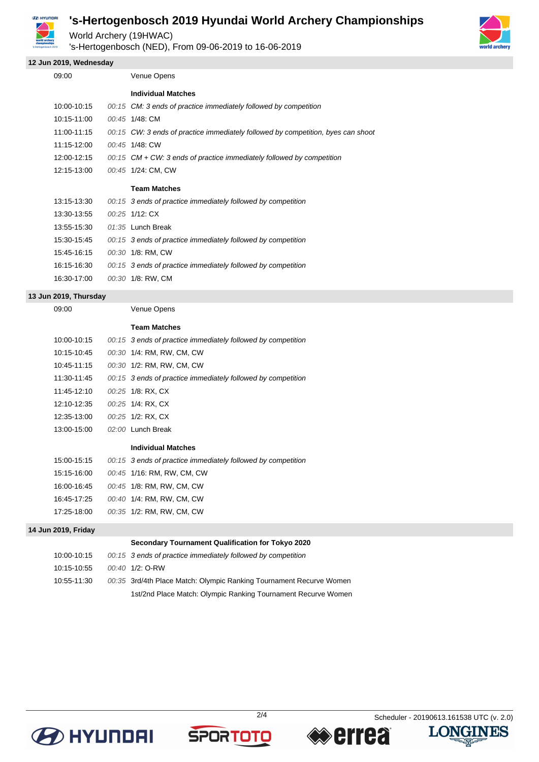

World Archery (19HWAC)

's-Hertogenbosch (NED), From 09-06-2019 to 16-06-2019

#### **12 Jun 2019, Wednesday**

| 09:00       | Venue Opens                                                                      |
|-------------|----------------------------------------------------------------------------------|
|             | <b>Individual Matches</b>                                                        |
| 10:00-10:15 | 00:15 CM: 3 ends of practice immediately followed by competition                 |
| 10:15-11:00 | 00:45 1/48: CM                                                                   |
| 11:00-11:15 | 00:15 CW: 3 ends of practice immediately followed by competition, byes can shoor |
| 11:15-12:00 | 00:45 1/48: CW                                                                   |
| 12:00-12:15 | $00:15$ CM + CW: 3 ends of practice immediately followed by competition          |
| 12:15-13:00 | 00:45 1/24: CM, CW                                                               |
|             | <b>Team Matches</b>                                                              |
| 13:15-13:30 | 00:15 3 ends of practice immediately followed by competition                     |
| 13:30-13:55 | 00:25 1/12: CX                                                                   |
| 13:55-15:30 | 01:35 Lunch Break                                                                |
| 15:30-15:45 | 00:15 3 ends of practice immediately followed by competition                     |
| 15:45-16:15 | 00:30 1/8: RM, CW                                                                |
| 16:15-16:30 | 00:15 3 ends of practice immediately followed by competition                     |
| 16:30-17:00 | 00:30 1/8: RW, CM                                                                |

#### **13 Jun 2019, Thursday**

09:00 Venue Opens

#### **Team Matches**

| 10:00-10:15 | 00:15 3 ends of practice immediately followed by competition |
|-------------|--------------------------------------------------------------|
| 10:15-10:45 | 00:30 1/4: RM, RW, CM, CW                                    |
| 10:45-11:15 | 00:30 1/2: RM, RW, CM, CW                                    |
| 11:30-11:45 | 00:15 3 ends of practice immediately followed by competition |
| 11:45-12:10 | 00:25 1/8: RX. CX                                            |
| 12:10-12:35 | 00:25 1/4: RX. CX                                            |
| 12:35-13:00 | 00:25 1/2: RX, CX                                            |
| 13:00-15:00 | $02:00$ Lunch Break                                          |
|             | <b>Individual Matches</b>                                    |
| 15:00-15:15 | 00:15 3 ends of practice immediately followed by competition |
| 15:15-16:00 | 00:45 1/16: RM, RW, CM, CW                                   |
| 16:00-16:45 | 00:45 1/8: RM, RW, CM, CW                                    |
| 16:45-17:25 | 00:40 1/4: RM, RW, CM, CW                                    |

| 17:25-18:00 | 00:35 1/2: RM, RW, CM, CW |  |  |
|-------------|---------------------------|--|--|

#### **14 Jun 2019, Friday**

|             | Secondary Tournament Qualification for Tokyo 2020                   |
|-------------|---------------------------------------------------------------------|
| 10:00-10:15 | 00:15 3 ends of practice immediately followed by competition        |
| 10:15-10:55 | $00:40$ 1/2: O-RW                                                   |
| 10.55-11.30 | 00:35 3rd/4th Place Match: Olympic Ranking Tournament Recurve Women |
|             | 1st/2nd Place Match: Olympic Ranking Tournament Recurve Women       |









₩

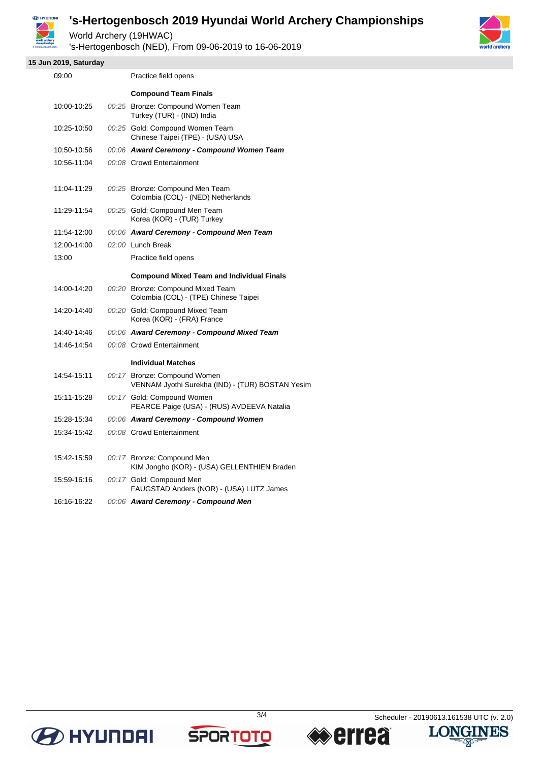

World Archery (19HWAC)

's-Hertogenbosch (NED), From 09-06-2019 to 16-06-2019



**15 Jun 2019, Saturday**

| 09:00       | Practice field opens                                                             |
|-------------|----------------------------------------------------------------------------------|
|             | <b>Compound Team Finals</b>                                                      |
| 10:00-10:25 | 00:25 Bronze: Compound Women Team<br>Turkey (TUR) - (IND) India                  |
| 10:25-10:50 | 00:25 Gold: Compound Women Team<br>Chinese Taipei (TPE) - (USA) USA              |
| 10:50-10:56 | 00:06 Award Ceremony - Compound Women Team                                       |
| 10:56-11:04 | 00:08 Crowd Entertainment                                                        |
| 11:04-11:29 | 00:25 Bronze: Compound Men Team<br>Colombia (COL) - (NED) Netherlands            |
| 11:29-11:54 | 00:25 Gold: Compound Men Team<br>Korea (KOR) - (TUR) Turkey                      |
| 11:54-12:00 | 00:06 Award Ceremony - Compound Men Team                                         |
| 12:00-14:00 | 02:00 Lunch Break                                                                |
| 13:00       | Practice field opens                                                             |
|             | <b>Compound Mixed Team and Individual Finals</b>                                 |
| 14:00-14:20 | 00:20 Bronze: Compound Mixed Team<br>Colombia (COL) - (TPE) Chinese Taipei       |
| 14:20-14:40 | 00:20 Gold: Compound Mixed Team<br>Korea (KOR) - (FRA) France                    |
| 14:40-14:46 | 00:06 Award Ceremony - Compound Mixed Team                                       |
| 14:46-14:54 | 00:08 Crowd Entertainment                                                        |
|             | <b>Individual Matches</b>                                                        |
| 14:54-15:11 | 00:17 Bronze: Compound Women<br>VENNAM Jyothi Surekha (IND) - (TUR) BOSTAN Yesim |
| 15:11-15:28 | 00:17 Gold: Compound Women<br>PEARCE Paige (USA) - (RUS) AVDEEVA Natalia         |
| 15:28-15:34 | 00:06 Award Ceremony - Compound Women                                            |
| 15:34-15:42 | 00:08 Crowd Entertainment                                                        |
| 15:42-15:59 | 00:17 Bronze: Compound Men<br>KIM Jongho (KOR) - (USA) GELLENTHIEN Braden        |
| 15:59-16:16 | 00:17 Gold: Compound Men<br>FAUGSTAD Anders (NOR) - (USA) LUTZ James             |
| 16:16-16:22 | 00:06 Award Ceremony - Compound Men                                              |









幽气